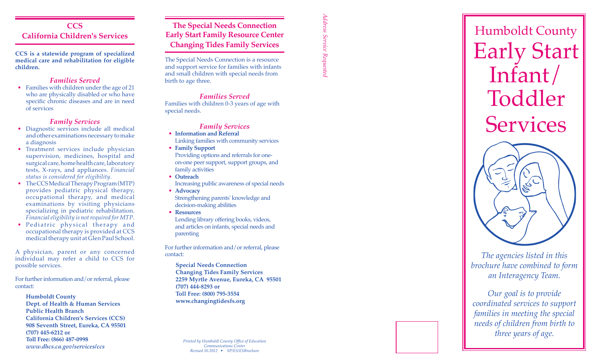# **CCS California Children's Services**

**CCS is a statewide program of specialized medical care and rehabilitation for eligible children.**

## *Families Served*

• Families with children under the age of 21 who are physically disabled or who have specific chronic diseases and are in need of services

### *Family Services*

- Diagnostic services include all medical and other examinations necessary to make a diagnosis
- Treatment services include physician supervision, medicines, hospital and surgical care, home health care, laboratory tests, X-rays, and appliances. *Financial status is considered for eligibility* .
- The CCS Medical Therapy Program (MTP) provides pediatric physical therapy, occupational therapy, and medical examinations by visiting physicians specializing in pediatric rehabilitation. *Financial eligibility is not required for MTP* .
- Pediatric physical therapy and occupational therapy is provided at CCS medical therapy unit at Glen Paul School.

A physician, parent or any concerned individual may refer a child to CCS for possible services.

For further information and/or referral, please contact:

- **Humboldt County**
- **Dept. of Health & Human Services Public Health Branch California Children's Services (CCS) 908 Seventh Street, Eureka, CA 95501 (707) 445-6212 or Toll Free: (866) 487-0998** *www.dhcs.ca.gov/services/ccs*

**The Special Needs Connection Early Start Family Resource Center Changing Tides Family Services**

The Special Needs Connection is a resource and support service for families with infants and small children with special needs from birth to age three.

# *Families Served*

Families with children 0-3 years of age with special needs.

#### *Family Services*

- **• Information and Referral** Linking families with community services
- **• Family Support** Providing options and referrals for oneon-one peer support, support groups, and family activities
- **• Outreach** Increasing public awareness of special needs
- **• Advocacy** Strengthening parents' knowledge and decision-making abilities
- **• Resources**

Lending library offering books, videos, and articles on infants, special needs and parenting

For further information and/or referral, please contact:

**Special Needs Connection Changing Tides Family Services 2259 Myrtle Avenue, Eureka, CA 95501 (707) 444-8293 or Toll Free: (800) 795-3554 www.changingtidesfs.org**

*Printed by Humboldt County Office of Education Communications Center Revised 10.2012 • SP/ES/ESBrochure*

*Address Service Requested* Address Service Requested



*brochure have combined to form an Interagency Team.* 

*Our goal is to provide coordinated services to support families in meeting the special needs of children from birth to three years of age.*